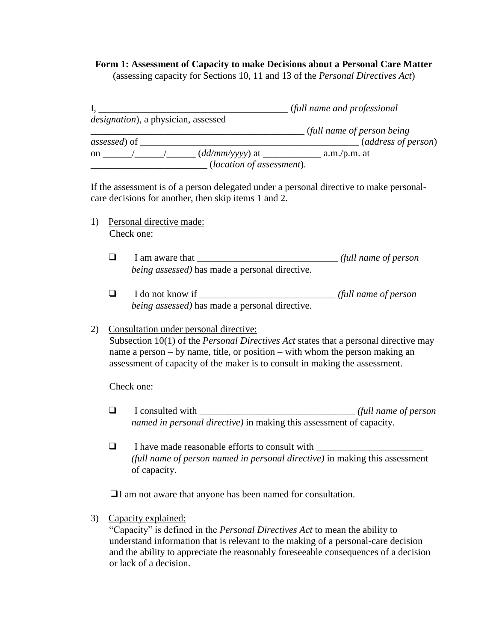## **Form 1: Assessment of Capacity to make Decisions about a Personal Care Matter**

(assessing capacity for Sections 10, 11 and 13 of the *Personal Directives Act*)

|                                             |                                    | (full name and professional) |                     |
|---------------------------------------------|------------------------------------|------------------------------|---------------------|
| <i>designation</i> ), a physician, assessed |                                    |                              |                     |
|                                             |                                    | (full name of person being)  |                     |
| <i>assessed</i> ) of                        |                                    |                              | (address of person) |
| <sub>on</sub>                               |                                    | $a.m./p.m.$ at               |                     |
|                                             | ( <i>location of assessment</i> ). |                              |                     |

If the assessment is of a person delegated under a personal directive to make personalcare decisions for another, then skip items 1 and 2.

- 1) Personal directive made: Check one:
	- ❑ I am aware that \_\_\_\_\_\_\_\_\_\_\_\_\_\_\_\_\_\_\_\_\_\_\_\_\_\_\_\_\_ *(full name of person being assessed)* has made a personal directive.
	- ❑ I do not know if \_\_\_\_\_\_\_\_\_\_\_\_\_\_\_\_\_\_\_\_\_\_\_\_\_\_\_\_ *(full name of person being assessed)* has made a personal directive.

## 2) Consultation under personal directive:

Subsection 10(1) of the *Personal Directives Act* states that a personal directive may name a person – by name, title, or position – with whom the person making an assessment of capacity of the maker is to consult in making the assessment.

Check one:

- ❑ I consulted with \_\_\_\_\_\_\_\_\_\_\_\_\_\_\_\_\_\_\_\_\_\_\_\_\_\_\_\_\_\_\_\_ *(full name of person named in personal directive)* in making this assessment of capacity.
- $\Box$  I have made reasonable efforts to consult with *(full name of person named in personal directive)* in making this assessment of capacity.

❑I am not aware that anyone has been named for consultation.

3) Capacity explained:

"Capacity" is defined in the *Personal Directives Act* to mean the ability to understand information that is relevant to the making of a personal-care decision and the ability to appreciate the reasonably foreseeable consequences of a decision or lack of a decision.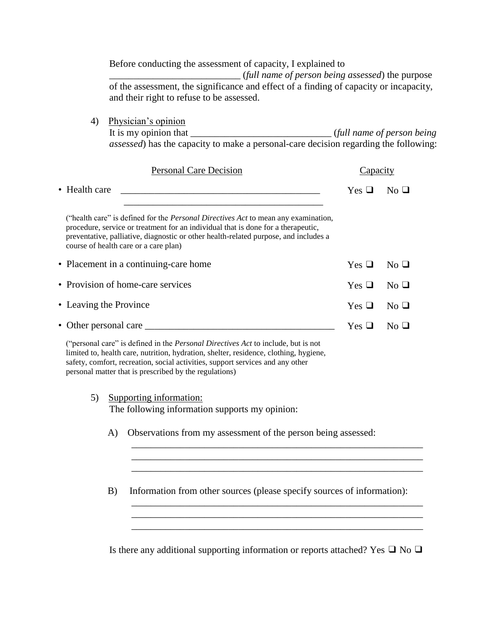Before conducting the assessment of capacity, I explained to \_\_\_\_\_\_\_\_\_\_\_\_\_\_\_\_\_\_\_\_\_\_\_\_\_\_\_ (*full name of person being assessed*) the purpose of the assessment, the significance and effect of a finding of capacity or incapacity, and their right to refuse to be assessed.

4) Physician's opinion It is my opinion that \_\_\_\_\_\_\_\_\_\_\_\_\_\_\_\_\_\_\_\_\_\_\_\_\_\_\_\_\_ (*full name of person being assessed*) has the capacity to make a personal-care decision regarding the following:

| <b>Personal Care Decision</b>                                                                                                                                                                                                                                                                                   | <b>Lapac</b>  |                                                     |
|-----------------------------------------------------------------------------------------------------------------------------------------------------------------------------------------------------------------------------------------------------------------------------------------------------------------|---------------|-----------------------------------------------------|
| • Health care                                                                                                                                                                                                                                                                                                   | $Yes \; \Box$ | $No$ $\Box$                                         |
| ("health care" is defined for the <i>Personal Directives Act</i> to mean any examination,<br>procedure, service or treatment for an individual that is done for a therapeutic,<br>preventative, palliative, diagnostic or other health-related purpose, and includes a<br>course of health care or a care plan) |               |                                                     |
| • Placement in a continuing-care home                                                                                                                                                                                                                                                                           | $Yes \; \Box$ | $No$ $\Box$                                         |
| • Provision of home-care services                                                                                                                                                                                                                                                                               | $Yes \; \Box$ | $No$ $\Box$                                         |
| • Leaving the Province                                                                                                                                                                                                                                                                                          | $Yes \; \Box$ | $No$ $\Box$                                         |
| • Other personal care _____                                                                                                                                                                                                                                                                                     | $Yes \; \Box$ | $\overline{\mathsf{N}}\overline{\mathsf{O}}$ $\Box$ |

("personal care" is defined in the *Personal Directives Act* to include, but is not limited to, health care, nutrition, hydration, shelter, residence, clothing, hygiene, safety, comfort, recreation, social activities, support services and any other personal matter that is prescribed by the regulations)

- 5) Supporting information: The following information supports my opinion:
	- A) Observations from my assessment of the person being assessed:
	- B) Information from other sources (please specify sources of information):

\_\_\_\_\_\_\_\_\_\_\_\_\_\_\_\_\_\_\_\_\_\_\_\_\_\_\_\_\_\_\_\_\_\_\_\_\_\_\_\_\_\_\_\_\_\_\_\_\_\_\_\_\_\_\_\_\_\_\_\_ \_\_\_\_\_\_\_\_\_\_\_\_\_\_\_\_\_\_\_\_\_\_\_\_\_\_\_\_\_\_\_\_\_\_\_\_\_\_\_\_\_\_\_\_\_\_\_\_\_\_\_\_\_\_\_\_\_\_\_\_ \_\_\_\_\_\_\_\_\_\_\_\_\_\_\_\_\_\_\_\_\_\_\_\_\_\_\_\_\_\_\_\_\_\_\_\_\_\_\_\_\_\_\_\_\_\_\_\_\_\_\_\_\_\_\_\_\_\_\_\_

\_\_\_\_\_\_\_\_\_\_\_\_\_\_\_\_\_\_\_\_\_\_\_\_\_\_\_\_\_\_\_\_\_\_\_\_\_\_\_\_\_\_\_\_\_\_\_\_\_\_\_\_\_\_\_\_\_\_\_\_ \_\_\_\_\_\_\_\_\_\_\_\_\_\_\_\_\_\_\_\_\_\_\_\_\_\_\_\_\_\_\_\_\_\_\_\_\_\_\_\_\_\_\_\_\_\_\_\_\_\_\_\_\_\_\_\_\_\_\_\_

Is there any additional supporting information or reports attached? Yes  $\Box$  No  $\Box$